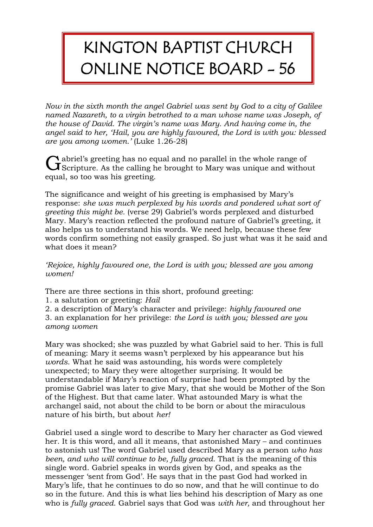## KINGTON BAPTIST CHURCH ONLINE NOTICE BOARD - 56

*Now in the sixth month the angel Gabriel was sent by God to a city of Galilee named Nazareth, to a virgin betrothed to a man whose name was Joseph, of the house of David. The virgin's name was Mary. And having come in, the angel said to her, 'Hail, you are highly favoured, the Lord is with you: blessed are you among women.'* (Luke 1.26-28)

abriel's greeting has no equal and no parallel in the whole range of  $\begin{array}{l} \bigcap \text{abriel's greeting has no equal and no parallel in the whole range of} \\ \text{Scripture. As the calling he brought to Mary was unique and without a specific number of times.} \end{array}$ equal, so too was his greeting.

The significance and weight of his greeting is emphasised by Mary's response: *she was much perplexed by his words and pondered what sort of greeting this might be.* (verse 29) Gabriel's words perplexed and disturbed Mary. Mary's reaction reflected the profound nature of Gabriel's greeting, it also helps us to understand his words. We need help, because these few words confirm something not easily grasped. So just what was it he said and what does it mean?

*'Rejoice, highly favoured one, the Lord is with you; blessed are you among women!*

There are three sections in this short, profound greeting:

1. a salutation or greeting: *Hail*

2. a description of Mary's character and privilege: *highly favoured one* 3. an explanation for her privilege: *the Lord is with you; blessed are you among women*

Mary was shocked; she was puzzled by what Gabriel said to her. This is full of meaning: Mary it seems wasn't perplexed by his appearance but his *words*. What he said was astounding, his words were completely unexpected; to Mary they were altogether surprising. It would be understandable if Mary's reaction of surprise had been prompted by the promise Gabriel was later to give Mary, that she would be Mother of the Son of the Highest. But that came later. What astounded Mary is what the archangel said, not about the child to be born or about the miraculous nature of his birth, but about *her!*

Gabriel used a single word to describe to Mary her character as God viewed her. It is this word, and all it means, that astonished Mary – and continues to astonish us! The word Gabriel used described Mary as a person *who has been, and who will continue to be, fully graced.* That is the meaning of this single word. Gabriel speaks in words given by God, and speaks as the messenger 'sent from God'. He says that in the past God had worked in Mary's life, that he continues to do so now, and that he will continue to do so in the future. And this is what lies behind his description of Mary as one who is *fully graced*. Gabriel says that God was *with her,* and throughout her